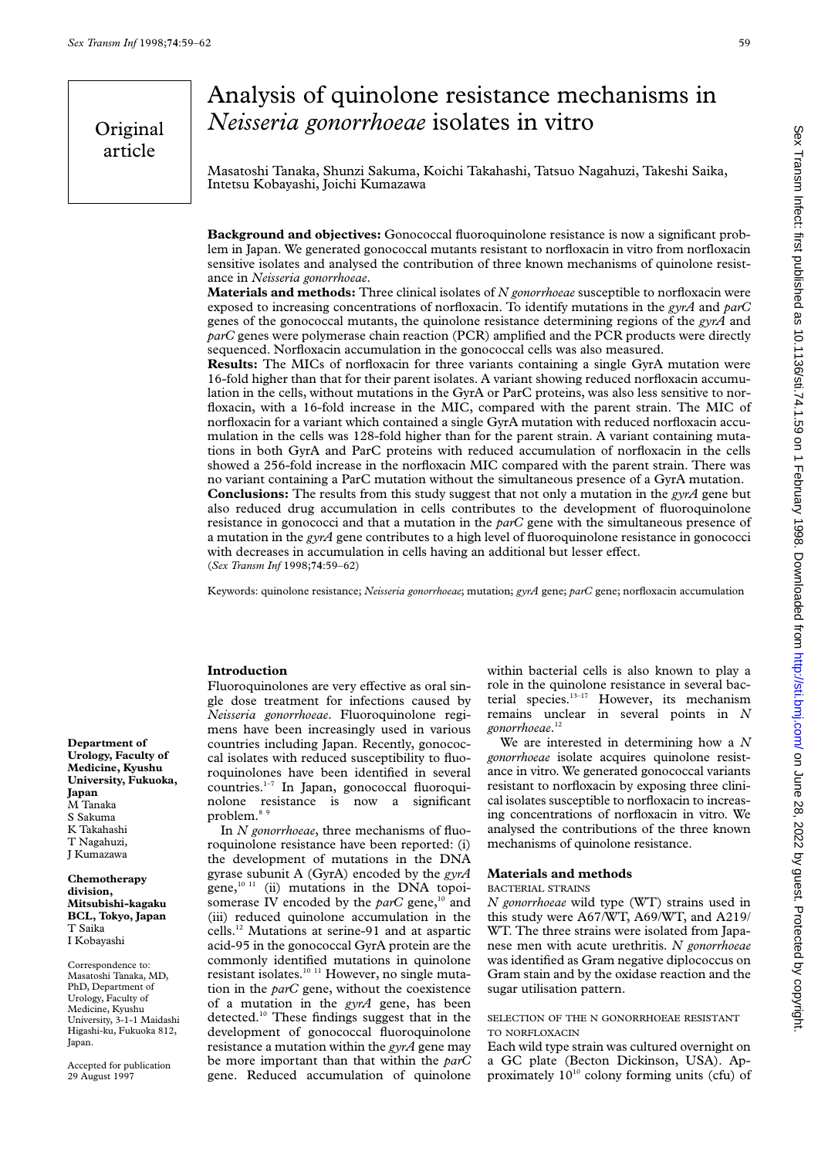Original article

# Analysis of quinolone resistance mechanisms in *Neisseria gonorrhoeae* isolates in vitro

Masatoshi Tanaka, Shunzi Sakuma, Koichi Takahashi, Tatsuo Nagahuzi, Takeshi Saika, Intetsu Kobayashi, Joichi Kumazawa

**Background and objectives:** Gonococcal fluoroquinolone resistance is now a significant problem in Japan. We generated gonococcal mutants resistant to norfloxacin in vitro from norfloxacin sensitive isolates and analysed the contribution of three known mechanisms of quinolone resistance in *Neisseria gonorrhoeae*.

**Materials and methods:** Three clinical isolates of *N gonorrhoeae* susceptible to norfloxacin were exposed to increasing concentrations of norfloxacin. To identify mutations in the *gyrA* and *parC* genes of the gonococcal mutants, the quinolone resistance determining regions of the *gyrA* and *parC* genes were polymerase chain reaction (PCR) amplified and the PCR products were directly sequenced. Norfloxacin accumulation in the gonococcal cells was also measured.

**Results:** The MICs of norfloxacin for three variants containing a single GyrA mutation were 16-fold higher than that for their parent isolates. A variant showing reduced norfloxacin accumulation in the cells, without mutations in the GyrA or ParC proteins, was also less sensitive to norfloxacin, with a 16-fold increase in the MIC, compared with the parent strain. The MIC of norfloxacin for a variant which contained a single GyrA mutation with reduced norfloxacin accumulation in the cells was 128-fold higher than for the parent strain. A variant containing mutations in both GyrA and ParC proteins with reduced accumulation of norfloxacin in the cells showed a 256-fold increase in the norfloxacin MIC compared with the parent strain. There was no variant containing a ParC mutation without the simultaneous presence of a GyrA mutation. **Conclusions:** The results from this study suggest that not only a mutation in the *gyrA* gene but also reduced drug accumulation in cells contributes to the development of fluoroquinolone resistance in gonococci and that a mutation in the *parC* gene with the simultaneous presence of a mutation in the *gyrA* gene contributes to a high level of fluoroquinolone resistance in gonococci with decreases in accumulation in cells having an additional but lesser effect. (*Sex Transm Inf* 1998;**74**:59–62)

Keywords: quinolone resistance; *Neisseria gonorrhoeae*; mutation; *gyrA* gene; *parC* gene; norfloxacin accumulation

#### **Introduction**

Fluoroquinolones are very effective as oral single dose treatment for infections caused by *Neisseria gonorrhoeae*. Fluoroquinolone regimens have been increasingly used in various countries including Japan. Recently, gonococcal isolates with reduced susceptibility to fluoroquinolones have been identified in several countries.1–7 In Japan, gonococcal fluoroquinolone resistance is now a significant problem.<sup>89</sup>

In *N gonorrhoeae*, three mechanisms of fluoroquinolone resistance have been reported: (i) the development of mutations in the DNA gyrase subunit A (GyrA) encoded by the *gyrA* gene, $10 \text{ } 11$  (ii) mutations in the DNA topoisomerase IV encoded by the *parC* gene,<sup>10</sup> and (iii) reduced quinolone accumulation in the cells.12 Mutations at serine-91 and at aspartic acid-95 in the gonococcal GyrA protein are the commonly identified mutations in quinolone resistant isolates.<sup>10 11</sup> However, no single mutation in the *parC* gene, without the coexistence of a mutation in the *gyrA* gene, has been detected.10 These findings suggest that in the development of gonococcal fluoroquinolone resistance a mutation within the *gyrA* gene may be more important than that within the *parC* gene. Reduced accumulation of quinolone

within bacterial cells is also known to play a role in the quinolone resistance in several bacterial species. $13-17$  However, its mechanism remains unclear in several points in *N gonorrhoeae*. 12

We are interested in determining how a *N gonorrhoeae* isolate acquires quinolone resistance in vitro. We generated gonococcal variants resistant to norfloxacin by exposing three clinical isolates susceptible to norfloxacin to increasing concentrations of norfloxacin in vitro. We analysed the contributions of the three known mechanisms of quinolone resistance.

## **Materials and methods**

#### BACTERIAL STRAINS

*N gonorrhoeae* wild type (WT) strains used in this study were A67/WT, A69/WT, and A219/ WT. The three strains were isolated from Japanese men with acute urethritis. *N gonorrhoeae* was identified as Gram negative diplococcus on Gram stain and by the oxidase reaction and the sugar utilisation pattern.

## SELECTION OF THE N GONORRHOEAE RESISTANT TO NORFLOXACIN

Each wild type strain was cultured overnight on a GC plate (Becton Dickinson, USA). Approximately  $10^{10}$  colony forming units (cfu) of

**Department of Urology, Faculty of Medicine, Kyushu University, Fukuoka, Japan** M Tanaka S Sakuma K Takahashi T Nagahuzi, J Kumazawa

#### **Chemotherapy division, Mitsubishi-kagaku BCL, Tokyo, Japan** T Saika I Kobayashi

Correspondence to: Masatoshi Tanaka, MD, PhD, Department of Urology, Faculty of Medicine, Kyushu University, 3-1-1 Maidashi Higashi-ku, Fukuoka 812, Japan.

Accepted for publication 29 August 1997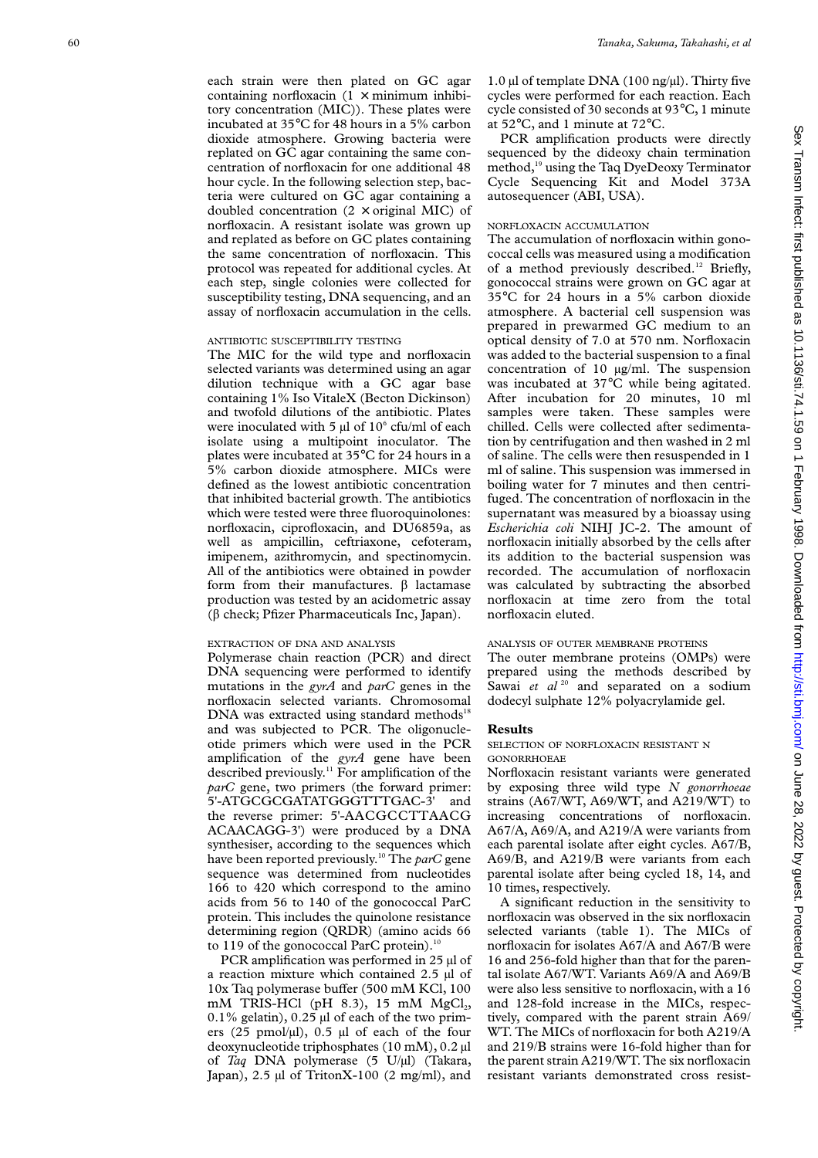each strain were then plated on GC agar containing norfloxacin  $(1 \times \text{minimum} \text{ inhibi-}$ tory concentration (MIC)). These plates were incubated at 35°C for 48 hours in a 5% carbon dioxide atmosphere. Growing bacteria were replated on GC agar containing the same concentration of norfloxacin for one additional 48 hour cycle. In the following selection step, bacteria were cultured on GC agar containing a doubled concentration  $(2 \times$  original MIC) of norfloxacin. A resistant isolate was grown up and replated as before on GC plates containing the same concentration of norfloxacin. This protocol was repeated for additional cycles. At each step, single colonies were collected for susceptibility testing, DNA sequencing, and an assay of norfloxacin accumulation in the cells.

## ANTIBIOTIC SUSCEPTIBILITY TESTING

The MIC for the wild type and norfloxacin selected variants was determined using an agar dilution technique with a GC agar base containing 1% Iso VitaleX (Becton Dickinson) and twofold dilutions of the antibiotic. Plates were inoculated with 5  $\mu$ l of 10 $\degree$  cfu/ml of each isolate using a multipoint inoculator. The plates were incubated at 35°C for 24 hours in a 5% carbon dioxide atmosphere. MICs were defined as the lowest antibiotic concentration that inhibited bacterial growth. The antibiotics which were tested were three fluoroquinolones: norfloxacin, ciprofloxacin, and DU6859a, as well as ampicillin, ceftriaxone, cefoteram, imipenem, azithromycin, and spectinomycin. All of the antibiotics were obtained in powder form from their manufactures.  $\beta$  lactamase production was tested by an acidometric assay (â check; Pfizer Pharmaceuticals Inc, Japan).

## EXTRACTION OF DNA AND ANALYSIS

Polymerase chain reaction (PCR) and direct DNA sequencing were performed to identify mutations in the *gyrA* and *parC* genes in the norfloxacin selected variants. Chromosomal  $DNA$  was extracted using standard methods<sup>18</sup> and was subjected to PCR. The oligonucleotide primers which were used in the PCR amplification of the *gyrA* gene have been described previously.<sup>11</sup> For amplification of the *parC* gene, two primers (the forward primer: 5'-ATGCGCGATATGGGTTTGAC-3' and the reverse primer: 5'-AACGCCTTAACG ACAACAGG-3') were produced by a DNA synthesiser, according to the sequences which have been reported previously.10 The *parC* gene sequence was determined from nucleotides 166 to 420 which correspond to the amino acids from 56 to 140 of the gonococcal ParC protein. This includes the quinolone resistance determining region (QRDR) (amino acids 66 to 119 of the gonococcal ParC protein).<sup>10</sup>

PCR amplification was performed in 25 µl of a reaction mixture which contained 2.5 µl of 10x Taq polymerase buffer (500 mM KCl, 100 mM TRIS-HCl (pH  $8.3$ ), 15 mM MgCl<sub>2</sub>,  $0.1\%$  gelatin),  $0.25$  µl of each of the two primers  $(25 \text{ pmol/µl})$ , 0.5 µl of each of the four deoxynucleotide triphosphates (10 mM), 0.2 µl of *Taq* DNA polymerase (5 U/µl) (Takara, Japan), 2.5 µl of TritonX-100 (2 mg/ml), and

1.0 µl of template DNA (100 ng/µl). Thirty five cycles were performed for each reaction. Each cycle consisted of 30 seconds at 93°C, 1 minute at 52°C, and 1 minute at 72°C.

PCR amplification products were directly sequenced by the dideoxy chain termination method,19 using the Taq DyeDeoxy Terminator Cycle Sequencing Kit and Model 373A autosequencer (ABI, USA).

## NORFLOXACIN ACCUMULATION

The accumulation of norfloxacin within gonococcal cells was measured using a modification of a method previously described.<sup>12</sup> Briefly, gonococcal strains were grown on GC agar at 35°C for 24 hours in a 5% carbon dioxide atmosphere. A bacterial cell suspension was prepared in prewarmed GC medium to an optical density of 7.0 at 570 nm. Norfloxacin was added to the bacterial suspension to a final concentration of 10 µg/ml. The suspension was incubated at 37°C while being agitated. After incubation for 20 minutes, 10 ml samples were taken. These samples were chilled. Cells were collected after sedimentation by centrifugation and then washed in 2 ml of saline. The cells were then resuspended in 1 ml of saline. This suspension was immersed in boiling water for 7 minutes and then centrifuged. The concentration of norfloxacin in the supernatant was measured by a bioassay using *Escherichia coli* NIHJ JC-2. The amount of norfloxacin initially absorbed by the cells after its addition to the bacterial suspension was recorded. The accumulation of norfloxacin was calculated by subtracting the absorbed norfloxacin at time zero from the total norfloxacin eluted.

#### ANALYSIS OF OUTER MEMBRANE PROTEINS

The outer membrane proteins (OMPs) were prepared using the methods described by Sawai et al<sup>20</sup> and separated on a sodium dodecyl sulphate 12% polyacrylamide gel.

### **Results**

## SELECTION OF NORFLOXACIN RESISTANT N GONORRHOEAE

Norfloxacin resistant variants were generated by exposing three wild type *N gonorrhoeae* strains (A67/WT, A69/WT, and A219/WT) to increasing concentrations of norfloxacin. A67/A, A69/A, and A219/A were variants from each parental isolate after eight cycles. A67/B, A69/B, and A219/B were variants from each parental isolate after being cycled 18, 14, and 10 times, respectively.

A significant reduction in the sensitivity to norfloxacin was observed in the six norfloxacin selected variants (table 1). The MICs of norfloxacin for isolates A67/A and A67/B were 16 and 256-fold higher than that for the parental isolate A67/WT. Variants A69/A and A69/B were also less sensitive to norfloxacin, with a 16 and 128-fold increase in the MICs, respectively, compared with the parent strain A69/ WT. The MICs of norfloxacin for both A219/A and 219/B strains were 16-fold higher than for the parent strain A219/WT. The six norfloxacin resistant variants demonstrated cross resist-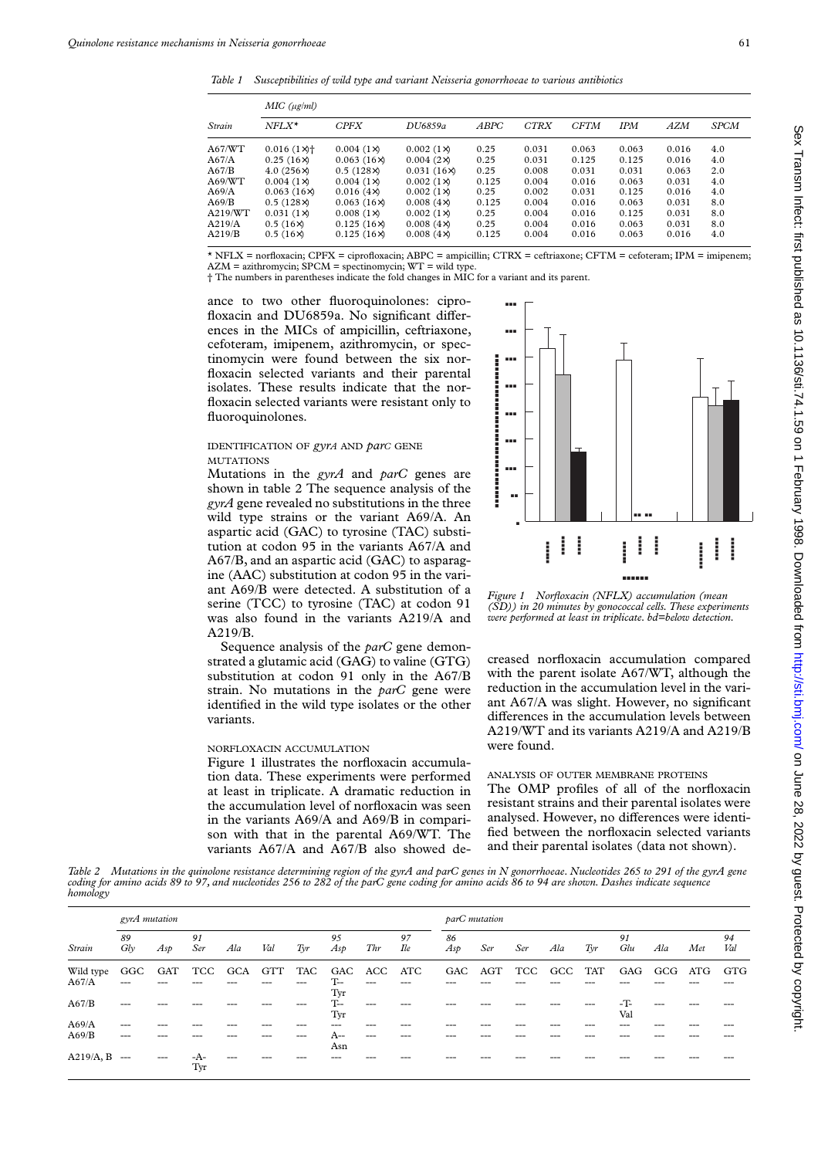*Table 1 Susceptibilities of wild type and variant Neisseria gonorrhoeae to various antibiotics*

| Strain  | MIC (ug/ml)                        |                   |                   |             |             |             |            |            |      |  |  |  |  |  |  |
|---------|------------------------------------|-------------------|-------------------|-------------|-------------|-------------|------------|------------|------|--|--|--|--|--|--|
|         | $NFLX^*$                           | <b>CPFX</b>       | DU6859a           | <b>ABPC</b> | <b>CTRX</b> | <b>CFTM</b> | <b>IPM</b> | <b>AZM</b> | SPCM |  |  |  |  |  |  |
| A67/WT  | $0.016$ (1 $\times$ ) <sup>+</sup> | $0.004(1\times)$  | $0.002(1\times)$  | 0.25        | 0.031       | 0.063       | 0.063      | 0.016      | 4.0  |  |  |  |  |  |  |
| A67/A   | 0.25(16x)                          | $0.063(16\times)$ | $0.004(2\times)$  | 0.25        | 0.031       | 0.125       | 0.125      | 0.016      | 4.0  |  |  |  |  |  |  |
| A67/B   | $4.0(256\times)$                   | $0.5(128\times)$  | $0.031(16\times)$ | 0.25        | 0.008       | 0.031       | 0.031      | 0.063      | 2.0  |  |  |  |  |  |  |
| A69/WT  | $0.004(1\times)$                   | $0.004(1\times)$  | $0.002(1\times)$  | 0.125       | 0.004       | 0.016       | 0.063      | 0.031      | 4.0  |  |  |  |  |  |  |
| A69/A   | $0.063(16\times)$                  | 0.016(4x)         | $0.002(1\times)$  | 0.25        | 0.002       | 0.031       | 0.125      | 0.016      | 4.0  |  |  |  |  |  |  |
| A69/B   | $0.5(128\times)$                   | 0.063(16x)        | 0.008(4x)         | 0.125       | 0.004       | 0.016       | 0.063      | 0.031      | 8.0  |  |  |  |  |  |  |
| A219/WT | $0.031(1\times)$                   | $0.008(1\times)$  | $0.002(1\times)$  | 0.25        | 0.004       | 0.016       | 0.125      | 0.031      | 8.0  |  |  |  |  |  |  |
| A219/A  | $0.5(16\times)$                    | $0.125(16\times)$ | $0.008(4\times)$  | 0.25        | 0.004       | 0.016       | 0.063      | 0.031      | 8.0  |  |  |  |  |  |  |
| A219/B  | $0.5(16\times)$                    | $0.125(16\times)$ | 0.008(4x)         | 0.125       | 0.004       | 0.016       | 0.063      | 0.016      | 4.0  |  |  |  |  |  |  |

\* NFLX = norfloxacin; CPFX = ciprofloxacin; ABPC = ampicillin; CTRX = ceftriaxone; CFTM = cefoteram; IPM = imipenem;

AZM = azithromycin; SPCM = spectinomycin; WT = wild type. † The numbers in parentheses indicate the fold changes in MIC for a variant and its parent.

ance to two other fluoroquinolones: ciprofloxacin and DU6859a. No significant differences in the MICs of ampicillin, ceftriaxone, cefoteram, imipenem, azithromycin, or spectinomycin were found between the six norfloxacin selected variants and their parental isolates. These results indicate that the norfloxacin selected variants were resistant only to fluoroquinolones.

## IDENTIFICATION OF *gyrA* AND *parC* GENE MUTATIONS

Mutations in the *gyrA* and *parC* genes are shown in table 2 The sequence analysis of the *gyrA* gene revealed no substitutions in the three wild type strains or the variant A69/A. An aspartic acid (GAC) to tyrosine (TAC) substitution at codon 95 in the variants A67/A and A67/B, and an aspartic acid (GAC) to asparagine (AAC) substitution at codon 95 in the variant A69/B were detected. A substitution of a serine (TCC) to tyrosine (TAC) at codon 91 was also found in the variants A219/A and A219/B.

Sequence analysis of the *parC* gene demonstrated a glutamic acid (GAG) to valine (GTG) substitution at codon 91 only in the A67/B strain. No mutations in the *parC* gene were identified in the wild type isolates or the other variants.

## NORFLOXACIN ACCUMULATION

Figure 1 illustrates the norfloxacin accumulation data. These experiments were performed at least in triplicate. A dramatic reduction in the accumulation level of norfloxacin was seen in the variants A69/A and A69/B in comparison with that in the parental A69/WT. The variants A67/A and A67/B also showed de-



*Figure 1 Norfloxacin (NFLX) accumulation (mean (SD)) in 20 minutes by gonococcal cells. These experiments were performed at least in triplicate. bd=below detection.*

creased norfloxacin accumulation compared with the parent isolate A67/WT, although the reduction in the accumulation level in the variant A67/A was slight. However, no significant differences in the accumulation levels between A219/WT and its variants A219/A and A219/B were found.

## ANALYSIS OF OUTER MEMBRANE PROTEINS

The OMP profiles of all of the norfloxacin resistant strains and their parental isolates were analysed. However, no differences were identified between the norfloxacin selected variants and their parental isolates (data not shown).

*Table 2 Mutations in the quinolone resistance determining region of the gyrA and parC genes in N gonorrhoeae. Nucleotides 265 to 291 of the gyrA gene coding for amino acids 89 to 97, and nucleotides 256 to 282 of the parC gene coding for amino acids 86 to 94 are shown. Dashes indicate sequence homology*

| Strain    | gyrA mutation |       |           |     |            |                |           |     | parC mutation    |           |     |     |     |     |           |     |     |           |
|-----------|---------------|-------|-----------|-----|------------|----------------|-----------|-----|------------------|-----------|-----|-----|-----|-----|-----------|-----|-----|-----------|
|           | 89<br>Gly     | Asp   | 91<br>Ser | Ala | Val        | $\mathit{Tyr}$ | 95<br>Asp | Thr | 97<br><b>Ile</b> | 86<br>Asp | Ser | Ser | Ala | Tyr | 91<br>Glu | Ala | Met | 94<br>Val |
| Wild type | GGC           | GAT   | TCC       | GCA | <b>GTT</b> | TAC            | GAC       | ACC | ATC              | GAC       | AGT | TCC | GCC | TAT | GAG       | GCG | ATG | GTG       |
| A67/A     | ---           |       |           |     |            |                | $-$       |     |                  |           |     |     |     |     |           |     |     |           |
|           |               |       |           |     |            |                | Tyr       |     |                  |           |     |     |     |     |           |     |     |           |
| A67/B     | ---           |       |           |     |            |                | $T-$      |     |                  |           |     |     |     |     | $-T$      |     |     |           |
|           |               |       |           |     |            |                | Tyr       |     |                  |           |     |     |     |     | Val       |     |     |           |
| A69/A     | $---$         |       | ---       |     |            |                |           |     |                  |           |     |     |     |     |           |     |     |           |
| A69/B     | ---           |       |           |     |            |                | A--       | --- |                  |           |     |     |     |     |           |     |     |           |
|           |               |       |           |     |            |                | Asn       |     |                  |           |     |     |     |     |           |     |     |           |
| A219/A, B | $---$         | $---$ | -A-       |     |            |                |           |     |                  |           |     |     |     |     |           |     |     |           |
|           |               |       | Tyr       |     |            |                |           |     |                  |           |     |     |     |     |           |     |     |           |